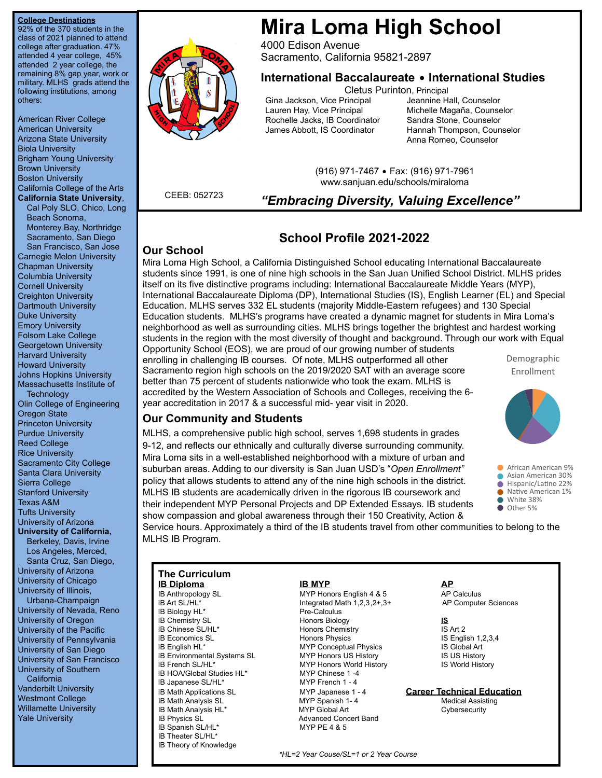### **College Destinations**

92% of the 370 students in the class of 2021 planned to attend college after graduation. 47% attended 4 year college, 45% attended 2 year college, the remaining 8% gap year, work or military. MLHS grads attend the following institutions, among others:

American River College American University Arizona State University Biola University Brigham Young University Brown University Boston University California College of the Arts **California State University**,

Cal Poly SLO, Chico, Long Beach Sonoma, Monterey Bay, Northridge Sacramento, San Diego San Francisco, San Jose Carnegie Melon University Chapman University Columbia University Cornell University Creighton University Dartmouth University Duke University Emory University Folsom Lake College Georgetown University Harvard University Howard University Johns Hopkins University Massachusetts Institute of **Technology** Olin College of Engineering Oregon State Princeton University Purdue University Reed College Rice University Sacramento City College Santa Clara University Sierra College Stanford University Texas A&M Tufts University University of Arizona **University of California,**  Berkeley, Davis, Irvine Los Angeles, Merced, Santa Cruz, San Diego, University of Arizona University of Chicago University of Illinois, Urbana-Champaign University of Nevada, Reno University of Oregon University of the Pacific University of Pennsylvania University of San Diego University of San Francisco University of Southern

**California** Vanderbilt University Westmont College Willamette University Yale University



# **Mira Loma High School**

4000 Edison Avenue Sacramento, California 95821-2897

# **International Baccalaureate** • **International Studies**

Cletus Purinton, Principal

Gina Jackson, Vice Principal Jeannine Hall, Counselor Lauren Hay, Vice Principal **Michelle Magaña, Counselor Counselor**<br>Rochelle Jacks, IB Coordinator Sandra Stone, Counselor Rochelle Jacks, IB Coordinator James Abbott, IS Coordinator Hannah Thompson, Counselor

Anna Romeo, Counselor

(916) 971-7467 • Fax: (916) 971-7961 www.sanjuan.edu/schools/miraloma

**CEEB: 052723 "Embracing Diversity, Valuing Excellence"** 

# **School Profile 2021-2022**

### **Our School**

Mira Loma High School, a California Distinguished School educating International Baccalaureate students since 1991, is one of nine high schools in the San Juan Unified School District. MLHS prides itself on its five distinctive programs including: International Baccalaureate Middle Years (MYP), International Baccalaureate Diploma (DP), International Studies (IS), English Learner (EL) and Special Education. MLHS serves 332 EL students (majority Middle-Eastern refugees) and 130 Special Education students. MLHS's programs have created a dynamic magnet for students in Mira Loma's neighborhood as well as surrounding cities. MLHS brings together the brightest and hardest working students in the region with the most diversity of thought and background. Through our work with Equal Opportunity School (EOS), we are proud of our growing number of students

enrolling in challenging IB courses. Of note, MLHS outperformed all other Sacramento region high schools on the 2019/2020 SAT with an average score better than 75 percent of students nationwide who took the exam. MLHS is accredited by the Western Association of Schools and Colleges, receiving the 6 year accreditation in 2017 & a successful mid- year visit in 2020.

Demographic Enrollment



## **Our Community and Students**

MLHS, a comprehensive public high school, serves 1,698 students in grades 9-12, and reflects our ethnically and culturally diverse surrounding community. Mira Loma sits in a well-established neighborhood with a mixture of urban and suburban areas. Adding to our diversity is San Juan USD's "*Open Enrollment"* policy that allows students to attend any of the nine high schools in the district. MLHS IB students are academically driven in the rigorous IB coursework and their independent MYP Personal Projects and DP Extended Essays. IB students show compassion and global awareness through their 150 Creativity, Action &

**African American 9%** 

- Asian American 30%  $\bullet$  Hispanic/Latino 22%
- Native American 1%
- White 38% Other 5%

Service hours. Approximately a third of the IB students travel from other communities to belong to the MLHS IB Program.

| <b>The Curriculum</b>          |                                        |                                   |
|--------------------------------|----------------------------------------|-----------------------------------|
| <u>IB Diploma</u>              | <b>IB MYP</b>                          | <b>AP</b>                         |
| IB Anthropology SL             | MYP Honors English 4 & 5               | AP Calculus                       |
| IB Art SL/HL*                  | Integrated Math $1,2,3,2+.3+$          | AP Computer Sciences              |
| IB Biology HL*                 | Pre-Calculus                           |                                   |
| <b>IB Chemistry SL</b>         | <b>Honors Biology</b>                  | IS.                               |
| IB Chinese SL/HL*              | Honors Chemistry                       | IS Art 2                          |
| <b>IB Economics SL</b>         | <b>Honors Physics</b>                  | IS English $1,2,3,4$              |
| IB English HL*                 | <b>MYP Conceptual Physics</b>          | IS Global Art                     |
| IB Environmental Systems SL    | <b>MYP Honors US History</b>           | <b>IS US History</b>              |
| IB French SL/HL*               | <b>MYP Honors World History</b>        | <b>IS World History</b>           |
| IB HOA/Global Studies HL*      | MYP Chinese 1-4                        |                                   |
| IB Japanese SL/HL*             | MYP French 1 - 4                       |                                   |
| <b>IB Math Applications SL</b> | MYP Japanese 1 - 4                     | <b>Career Technical Education</b> |
| <b>IB Math Analysis SL</b>     | MYP Spanish 1-4                        | <b>Medical Assisting</b>          |
| IB Math Analysis HL*           | MYP Global Art                         | Cybersecurity                     |
| <b>IB Physics SL</b>           | <b>Advanced Concert Band</b>           |                                   |
| IB Spanish SL/HL*              | MYP PE 4 & 5                           |                                   |
| IB Theater SL/HL*              |                                        |                                   |
| <b>IB Theory of Knowledge</b>  |                                        |                                   |
|                                | *HL=2 Year Couse/SL=1 or 2 Year Course |                                   |